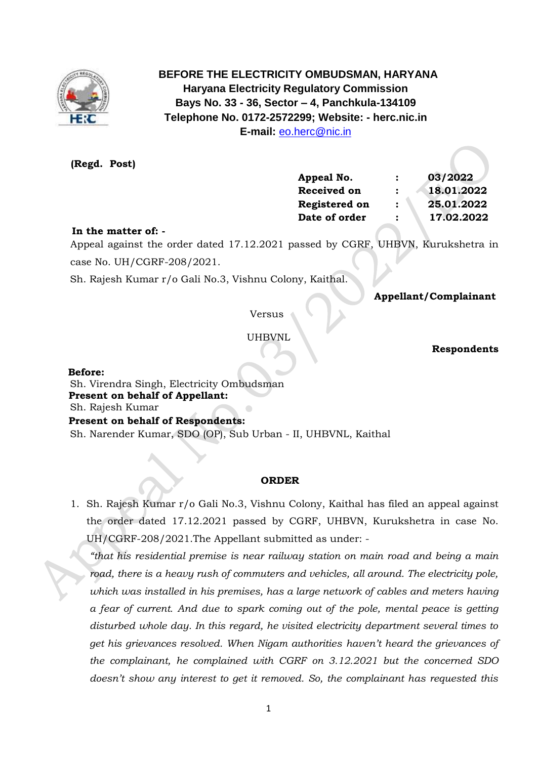

 **BEFORE THE ELECTRICITY OMBUDSMAN, HARYANA Haryana Electricity Regulatory Commission Bays No. 33 - 36, Sector – 4, Panchkula-134109 Telephone No. 0172-2572299; Website: - herc.nic.in E-mail:** [eo.herc@nic.in](mailto:eo.herc@nic.in)

**(Regd. Post)**

| Appeal No.         |                | 03/2022    |
|--------------------|----------------|------------|
| <b>Received on</b> | :              | 18.01.2022 |
| Registered on      | $\ddot{\cdot}$ | 25.01.2022 |
| Date of order      | :              | 17.02.2022 |
|                    |                |            |

# **In the matter of: -**

 Appeal against the order dated 17.12.2021 passed by CGRF, UHBVN, Kurukshetra in case No. UH/CGRF-208/2021.

Sh. Rajesh Kumar r/o Gali No.3, Vishnu Colony, Kaithal.

# **Appellant/Complainant**

Versus

UHBVNL

 **Respondents**

### **Before:**

 Sh. Virendra Singh, Electricity Ombudsman  **Present on behalf of Appellant:**  Sh. Rajesh Kumar **Present on behalf of Respondents:**  Sh. Narender Kumar, SDO (OP), Sub Urban - II, UHBVNL, Kaithal

### **ORDER**

1. Sh. Rajesh Kumar r/o Gali No.3, Vishnu Colony, Kaithal has filed an appeal against the order dated 17.12.2021 passed by CGRF, UHBVN, Kurukshetra in case No. UH/CGRF-208/2021.The Appellant submitted as under: -

*"that his residential premise is near railway station on main road and being a main road, there is a heavy rush of commuters and vehicles, all around. The electricity pole, which was installed in his premises, has a large network of cables and meters having a fear of current. And due to spark coming out of the pole, mental peace is getting disturbed whole day. In this regard, he visited electricity department several times to get his grievances resolved. When Nigam authorities haven't heard the grievances of the complainant, he complained with CGRF on 3.12.2021 but the concerned SDO doesn't show any interest to get it removed. So, the complainant has requested this*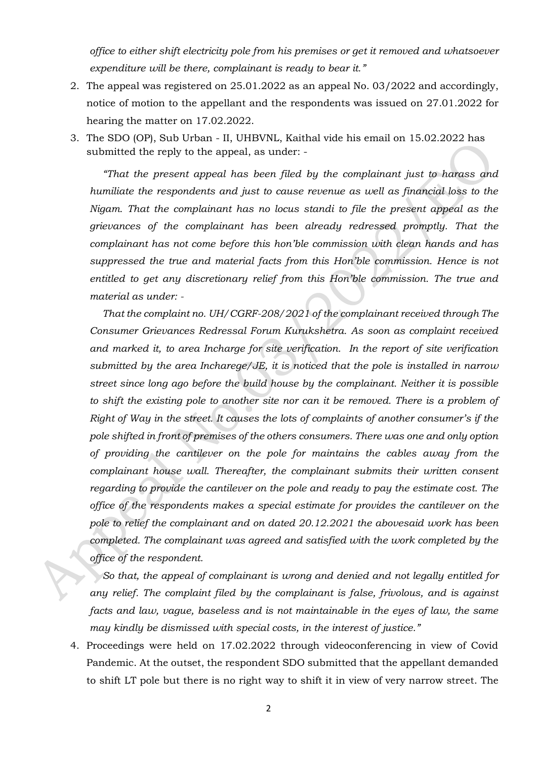*office to either shift electricity pole from his premises or get it removed and whatsoever expenditure will be there, complainant is ready to bear it."*

- 2. The appeal was registered on 25.01.2022 as an appeal No. 03/2022 and accordingly, notice of motion to the appellant and the respondents was issued on 27.01.2022 for hearing the matter on 17.02.2022.
- 3. The SDO (OP), Sub Urban II, UHBVNL, Kaithal vide his email on 15.02.2022 has submitted the reply to the appeal, as under: -

*"That the present appeal has been filed by the complainant just to harass and humiliate the respondents and just to cause revenue as well as financial loss to the Nigam. That the complainant has no locus standi to file the present appeal as the grievances of the complainant has been already redressed promptly. That the complainant has not come before this hon'ble commission with clean hands and has suppressed the true and material facts from this Hon'ble commission. Hence is not entitled to get any discretionary relief from this Hon'ble commission. The true and material as under: -*

*That the complaint no. UH/CGRF-208/2021 of the complainant received through The Consumer Grievances Redressal Forum Kurukshetra. As soon as complaint received and marked it, to area Incharge for site verification. In the report of site verification submitted by the area Incharege/JE, it is noticed that the pole is installed in narrow street since long ago before the build house by the complainant. Neither it is possible to shift the existing pole to another site nor can it be removed. There is a problem of Right of Way in the street. It causes the lots of complaints of another consumer's if the pole shifted in front of premises of the others consumers. There was one and only option of providing the cantilever on the pole for maintains the cables away from the complainant house wall. Thereafter, the complainant submits their written consent regarding to provide the cantilever on the pole and ready to pay the estimate cost. The office of the respondents makes a special estimate for provides the cantilever on the pole to relief the complainant and on dated 20.12.2021 the abovesaid work has been completed. The complainant was agreed and satisfied with the work completed by the office of the respondent.*

*So that, the appeal of complainant is wrong and denied and not legally entitled for any relief. The complaint filed by the complainant is false, frivolous, and is against facts and law, vague, baseless and is not maintainable in the eyes of law, the same may kindly be dismissed with special costs, in the interest of justice."*

4. Proceedings were held on 17.02.2022 through videoconferencing in view of Covid Pandemic. At the outset, the respondent SDO submitted that the appellant demanded to shift LT pole but there is no right way to shift it in view of very narrow street. The